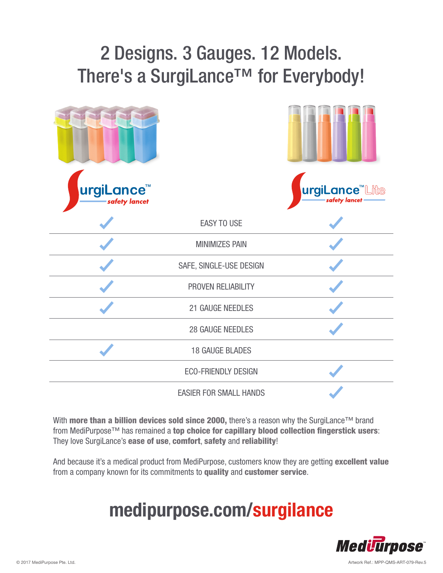## 2 Designs. 3 Gauges. 12 Models. There's a SurgiLance<sup>™</sup> for Everybody!

| urgiLance <sup>™</sup><br>safety lancet |                               | urgiLance <sup>"</sup> Lite<br>safety lancet - |  |
|-----------------------------------------|-------------------------------|------------------------------------------------|--|
|                                         | <b>EASY TO USE</b>            |                                                |  |
|                                         | <b>MINIMIZES PAIN</b>         |                                                |  |
|                                         | SAFE, SINGLE-USE DESIGN       |                                                |  |
|                                         | PROVEN RELIABILITY            |                                                |  |
|                                         | 21 GAUGE NEEDLES              |                                                |  |
|                                         | <b>28 GAUGE NEEDLES</b>       |                                                |  |
|                                         | <b>18 GAUGE BLADES</b>        |                                                |  |
|                                         | <b>ECO-FRIENDLY DESIGN</b>    |                                                |  |
|                                         | <b>EASIER FOR SMALL HANDS</b> |                                                |  |

With more than a billion devices sold since 2000, there's a reason why the SurgiLance™ brand from MediPurpose™ has remained a top choice for capillary blood collection fingerstick users: They love SurgiLance's ease of use, comfort, safety and reliability!

And because it's a medical product from MediPurpose, customers know they are getting excellent value from a company known for its commitments to quality and customer service.

## **medipurpose.com/surgilance**